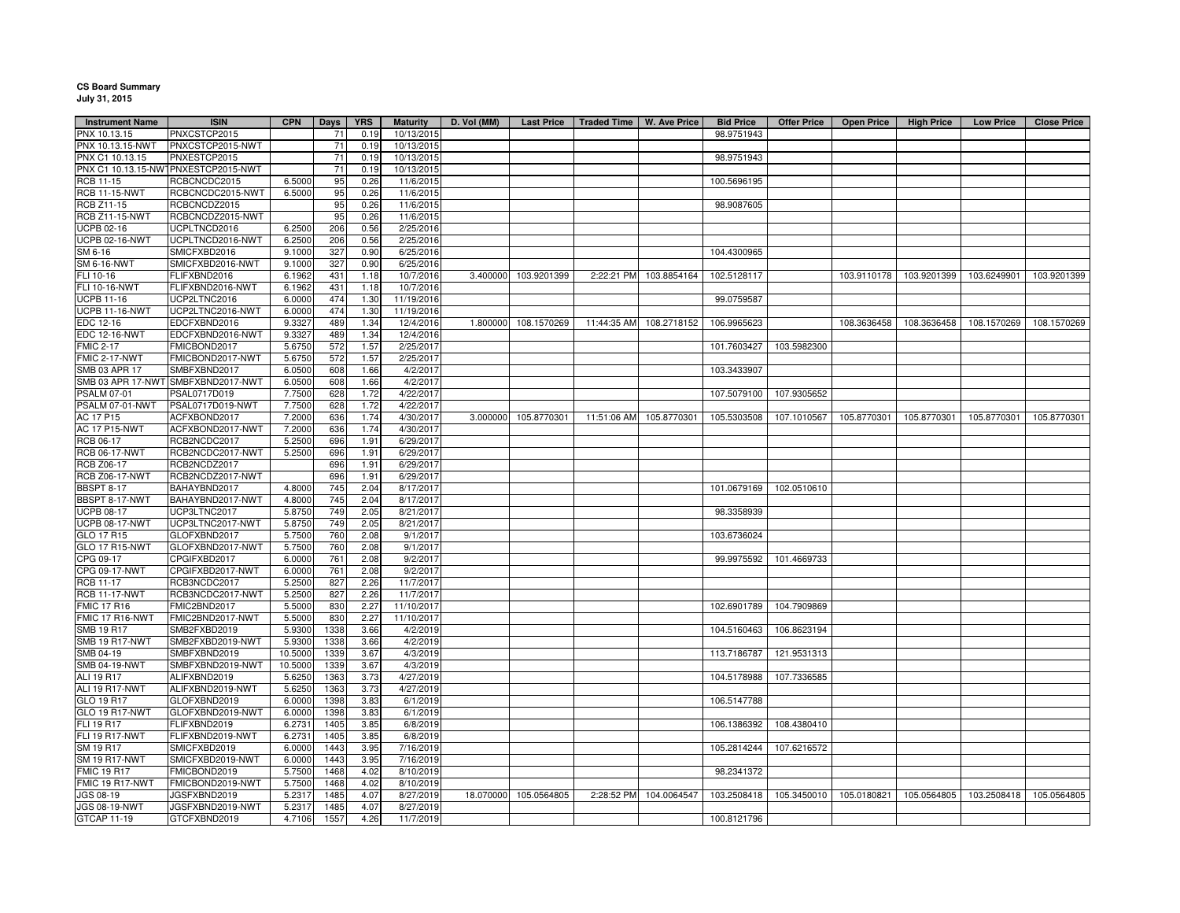## **CS Board Summary July 31, 2015**

| <b>Instrument Name</b> | <b>ISIN</b>                         | <b>CPN</b> | Days | <b>YRS</b> | <b>Maturity</b> | D. Vol (MM) | <b>Last Price</b> | Traded Time   W. Ave Price |                         | <b>Bid Price</b> | <b>Offer Price</b> | <b>Open Price</b>       | <b>High Price</b> | <b>Low Price</b> | <b>Close Price</b> |
|------------------------|-------------------------------------|------------|------|------------|-----------------|-------------|-------------------|----------------------------|-------------------------|------------------|--------------------|-------------------------|-------------------|------------------|--------------------|
| PNX 10.13.15           | PNXCSTCP2015                        |            | 71   | 0.19       | 10/13/2015      |             |                   |                            |                         | 98.9751943       |                    |                         |                   |                  |                    |
| PNX 10.13.15-NWT       | PNXCSTCP2015-NWT                    |            | 71   | 0.19       | 10/13/2015      |             |                   |                            |                         |                  |                    |                         |                   |                  |                    |
| PNX C1 10.13.15        | PNXESTCP2015                        |            | 71   | 0.19       | 10/13/2015      |             |                   |                            |                         | 98.9751943       |                    |                         |                   |                  |                    |
|                        | PNX C1 10.13.15-NW1PNXESTCP2015-NWT |            | 71   | 0.19       | 10/13/2015      |             |                   |                            |                         |                  |                    |                         |                   |                  |                    |
| RCB 11-15              | RCBCNCDC2015                        | 6.5000     | 95   | 0.26       | 11/6/2015       |             |                   |                            |                         | 100.5696195      |                    |                         |                   |                  |                    |
| <b>RCB 11-15-NWT</b>   | RCBCNCDC2015-NWT                    | 6.5000     | 95   | 0.26       | 11/6/2015       |             |                   |                            |                         |                  |                    |                         |                   |                  |                    |
| <b>RCB Z11-15</b>      | RCBCNCDZ2015                        |            | 95   | 0.26       | 11/6/2015       |             |                   |                            |                         | 98.9087605       |                    |                         |                   |                  |                    |
| <b>RCB Z11-15-NWT</b>  | RCBCNCDZ2015-NWT                    |            | 95   | 0.26       | 11/6/2015       |             |                   |                            |                         |                  |                    |                         |                   |                  |                    |
| <b>UCPB 02-16</b>      | UCPLTNCD2016                        | 6.2500     | 206  | 0.56       | 2/25/2016       |             |                   |                            |                         |                  |                    |                         |                   |                  |                    |
| <b>UCPB 02-16-NWT</b>  | UCPLTNCD2016-NWT                    | 6.2500     | 206  | 0.56       | 2/25/2016       |             |                   |                            |                         |                  |                    |                         |                   |                  |                    |
| SM 6-16                | SMICFXBD2016                        | 9.1000     | 327  | 0.90       | 6/25/2016       |             |                   |                            |                         | 104.4300965      |                    |                         |                   |                  |                    |
| <b>SM 6-16-NWT</b>     | SMICFXBD2016-NWT                    | 9.1000     | 327  | 0.90       | 6/25/2016       |             |                   |                            |                         |                  |                    |                         |                   |                  |                    |
| FLI 10-16              | FLIFXBND2016                        | 6.1962     | 431  | 1.18       | 10/7/2016       | 3.400000    | 103.9201399       |                            | 2:22:21 PM 103.8854164  | 102.5128117      |                    | 103.9110178             | 103.9201399       | 103.6249901      | 103.9201399        |
| FLI 10-16-NWT          | FLIFXBND2016-NWT                    | 6.1962     | 431  | 1.18       | 10/7/2016       |             |                   |                            |                         |                  |                    |                         |                   |                  |                    |
| <b>UCPB 11-16</b>      | UCP2LTNC2016                        | 6.0000     | 474  | 1.30       | 11/19/2016      |             |                   |                            |                         | 99.0759587       |                    |                         |                   |                  |                    |
| <b>UCPB 11-16-NWT</b>  | UCP2LTNC2016-NWT                    | 6.0000     | 474  | 1.30       | 11/19/2016      |             |                   |                            |                         |                  |                    |                         |                   |                  |                    |
| EDC 12-16              | EDCFXBND2016                        | 9.3327     | 489  | 1.34       | 12/4/2016       | 1.800000    | 108.1570269       | 11:44:35 AM                | 108.2718152             | 106.9965623      |                    | 108.3636458             | 108.3636458       | 108.1570269      | 108.1570269        |
| <b>EDC 12-16-NWT</b>   | EDCFXBND2016-NWT                    | 9.3327     | 489  | 1.34       | 12/4/2016       |             |                   |                            |                         |                  |                    |                         |                   |                  |                    |
| <b>FMIC 2-17</b>       | FMICBOND2017                        | 5.6750     | 572  | 1.57       | 2/25/2017       |             |                   |                            |                         | 101.7603427      | 103.5982300        |                         |                   |                  |                    |
| FMIC 2-17-NWT          | FMICBOND2017-NWT                    | 5.6750     | 572  | 1.57       |                 |             |                   |                            |                         |                  |                    |                         |                   |                  |                    |
| SMB 03 APR 17          |                                     |            | 608  |            | 2/25/2017       |             |                   |                            |                         |                  |                    |                         |                   |                  |                    |
|                        | SMBFXBND2017                        | 6.0500     |      | 1.66       | 4/2/2017        |             |                   |                            |                         | 103.3433907      |                    |                         |                   |                  |                    |
|                        | SMB 03 APR 17-NWT SMBFXBND2017-NWT  | 6.0500     | 608  | 1.66       | 4/2/2017        |             |                   |                            |                         |                  |                    |                         |                   |                  |                    |
| <b>PSALM 07-01</b>     | PSAL0717D019                        | 7.7500     | 628  | 1.72       | 4/22/2017       |             |                   |                            |                         | 107.5079100      | 107.9305652        |                         |                   |                  |                    |
| PSALM 07-01-NWT        | PSAL0717D019-NWT                    | 7.7500     | 628  | 1.72       | 4/22/2017       |             |                   |                            |                         |                  |                    |                         |                   |                  |                    |
| AC 17 P15              | ACFXBOND2017                        | 7.2000     | 636  | 1.74       | 4/30/2017       | 3.000000    | 105.8770301       |                            | 11:51:06 AM 105.8770301 | 105.5303508      | 107.1010567        | 105.8770301             | 105.8770301       | 105.8770301      | 105.8770301        |
| <b>AC 17 P15-NWT</b>   | ACFXBOND2017-NWT                    | 7.2000     | 636  | 1.74       | 4/30/2017       |             |                   |                            |                         |                  |                    |                         |                   |                  |                    |
| RCB 06-17              | RCB2NCDC2017                        | 5.2500     | 696  | 1.91       | 6/29/2017       |             |                   |                            |                         |                  |                    |                         |                   |                  |                    |
| <b>RCB 06-17-NWT</b>   | RCB2NCDC2017-NWT                    | 5.2500     | 696  | 1.91       | 6/29/2017       |             |                   |                            |                         |                  |                    |                         |                   |                  |                    |
| <b>RCB Z06-17</b>      | RCB2NCDZ2017                        |            | 696  | 1.91       | 6/29/2017       |             |                   |                            |                         |                  |                    |                         |                   |                  |                    |
| <b>RCB Z06-17-NWT</b>  | RCB2NCDZ2017-NWT                    |            | 696  | 1.91       | 6/29/2017       |             |                   |                            |                         |                  |                    |                         |                   |                  |                    |
| <b>BBSPT 8-17</b>      | BAHAYBND2017                        | 4.8000     | 745  | 2.04       | 8/17/2017       |             |                   |                            |                         | 101.0679169      | 102.0510610        |                         |                   |                  |                    |
| BBSPT 8-17-NWT         | BAHAYBND2017-NWT                    | 4.8000     | 745  | 2.04       | 8/17/2017       |             |                   |                            |                         |                  |                    |                         |                   |                  |                    |
| <b>UCPB 08-17</b>      | UCP3LTNC2017                        | 5.8750     | 749  | 2.05       | 8/21/2017       |             |                   |                            |                         | 98.3358939       |                    |                         |                   |                  |                    |
| <b>UCPB 08-17-NWT</b>  | UCP3LTNC2017-NWT                    | 5.8750     | 749  | 2.05       | 8/21/2017       |             |                   |                            |                         |                  |                    |                         |                   |                  |                    |
| GLO 17 R15             | GLOFXBND2017                        | 5.7500     | 760  | 2.08       | 9/1/2017        |             |                   |                            |                         | 103.6736024      |                    |                         |                   |                  |                    |
| GLO 17 R15-NWT         | GLOFXBND2017-NWT                    | 5.7500     | 760  | 2.08       | 9/1/2017        |             |                   |                            |                         |                  |                    |                         |                   |                  |                    |
| CPG 09-17              | CPGIFXBD2017                        | 6.0000     | 761  | 2.08       | 9/2/2017        |             |                   |                            |                         | 99.9975592       | 101.4669733        |                         |                   |                  |                    |
| CPG 09-17-NWT          | CPGIFXBD2017-NWT                    | 6.0000     | 761  | 2.08       | 9/2/2017        |             |                   |                            |                         |                  |                    |                         |                   |                  |                    |
| RCB 11-17              | RCB3NCDC2017                        | 5.2500     | 827  | 2.26       | 11/7/2017       |             |                   |                            |                         |                  |                    |                         |                   |                  |                    |
| <b>RCB 11-17-NWT</b>   | RCB3NCDC2017-NWT                    | 5.2500     | 827  | 2.26       | 11/7/2017       |             |                   |                            |                         |                  |                    |                         |                   |                  |                    |
| <b>FMIC 17 R16</b>     | FMIC2BND2017                        | 5.5000     | 830  | 2.27       | 11/10/2017      |             |                   |                            |                         | 102.6901789      | 104.7909869        |                         |                   |                  |                    |
| FMIC 17 R16-NWT        | FMIC2BND2017-NWT                    | 5.5000     | 830  | 2.27       | 11/10/2017      |             |                   |                            |                         |                  |                    |                         |                   |                  |                    |
| <b>SMB 19 R17</b>      | SMB2FXBD2019                        | 5.9300     | 1338 | 3.66       | 4/2/2019        |             |                   |                            |                         | 104.5160463      | 106.8623194        |                         |                   |                  |                    |
| <b>SMB 19 R17-NWT</b>  | SMB2FXBD2019-NWT                    | 5.9300     | 1338 | 3.66       | 4/2/2019        |             |                   |                            |                         |                  |                    |                         |                   |                  |                    |
| SMB 04-19              | SMBFXBND2019                        | 10.5000    | 1339 | 3.67       | 4/3/2019        |             |                   |                            |                         | 113.7186787      | 121.9531313        |                         |                   |                  |                    |
| SMB 04-19-NWT          | SMBFXBND2019-NWT                    | 10.5000    | 1339 | 3.67       | 4/3/2019        |             |                   |                            |                         |                  |                    |                         |                   |                  |                    |
| <b>ALI 19 R17</b>      | ALIFXBND2019                        | 5.6250     | 1363 | 3.73       | 4/27/2019       |             |                   |                            |                         | 104.5178988      | 107.7336585        |                         |                   |                  |                    |
| ALI 19 R17-NWT         | ALIFXBND2019-NWT                    | 5.6250     | 1363 | 3.73       | 4/27/2019       |             |                   |                            |                         |                  |                    |                         |                   |                  |                    |
| GLO 19 R17             | GLOFXBND2019                        | 6.0000     | 1398 | 3.83       | 6/1/2019        |             |                   |                            |                         | 106.5147788      |                    |                         |                   |                  |                    |
| GLO 19 R17-NWT         | GLOFXBND2019-NWT                    | 6.0000     | 1398 | 3.83       | 6/1/2019        |             |                   |                            |                         |                  |                    |                         |                   |                  |                    |
| FLI 19 R17             | FLIFXBND2019                        | 6.2731     | 1405 | 3.85       | 6/8/2019        |             |                   |                            |                         | 106.1386392      | 108.4380410        |                         |                   |                  |                    |
| <b>FLI 19 R17-NWT</b>  | FLIFXBND2019-NWT                    | 6.273      | 1405 | 3.85       | 6/8/2019        |             |                   |                            |                         |                  |                    |                         |                   |                  |                    |
| SM 19 R17              | SMICFXBD2019                        | 6.0000     | 1443 | 3.95       | 7/16/2019       |             |                   |                            |                         | 105.2814244      | 107.6216572        |                         |                   |                  |                    |
| <b>SM 19 R17-NWT</b>   | SMICFXBD2019-NWT                    | 6.0000     | 1443 | 3.95       | 7/16/2019       |             |                   |                            |                         |                  |                    |                         |                   |                  |                    |
| <b>FMIC 19 R17</b>     | FMICBOND2019                        | 5.7500     | 1468 | 4.02       | 8/10/2019       |             |                   |                            |                         | 98.2341372       |                    |                         |                   |                  |                    |
|                        |                                     |            |      |            |                 |             |                   |                            |                         |                  |                    |                         |                   |                  |                    |
| FMIC 19 R17-NWT        | FMICBOND2019-NWT                    | 5.7500     | 1468 | 4.02       | 8/10/2019       |             |                   |                            |                         |                  |                    |                         |                   |                  |                    |
| JGS 08-19              | JGSFXBND2019                        | 5.2317     | 1485 | 4.07       | 8/27/2019       | 18.070000   | 105.0564805       |                            | 2:28:52 PM 104.0064547  | 103.2508418      |                    | 105.3450010 105.0180821 | 105.0564805       | 103.2508418      | 105.0564805        |
| JGS 08-19-NWT          | JGSFXBND2019-NWT                    | 5.2317     | 1485 | 4.07       | 8/27/2019       |             |                   |                            |                         |                  |                    |                         |                   |                  |                    |
| GTCAP 11-19            | GTCFXBND2019                        | 4.7106     | 1557 | 4.26       | 11/7/2019       |             |                   |                            |                         | 100.8121796      |                    |                         |                   |                  |                    |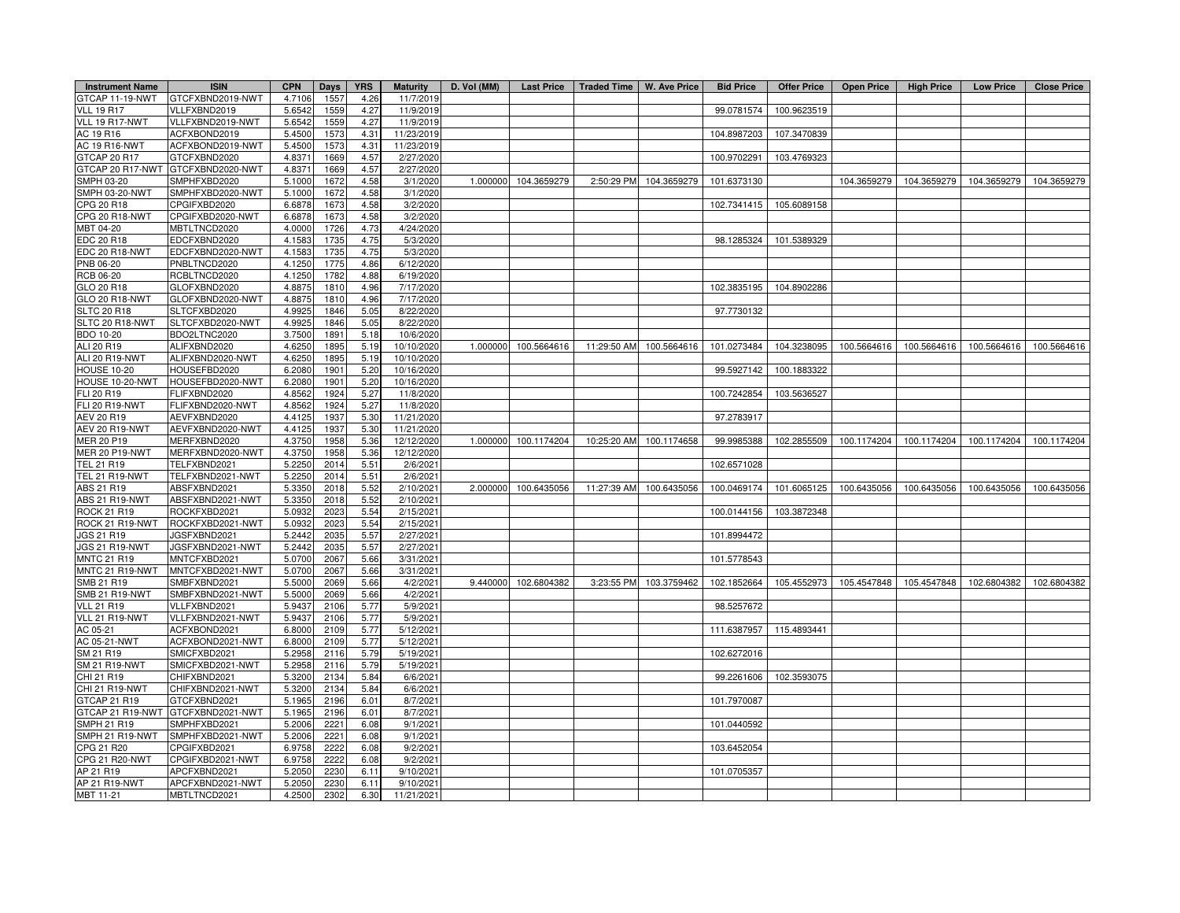| <b>Instrument Name</b>         | <b>ISIN</b>                       | <b>CPN</b>       | Days         | <b>YRS</b>   | <b>Maturity</b>      | D. Vol (MM) | <b>Last Price</b> | Traded Time   W. Ave Price |                        | <b>Bid Price</b> | <b>Offer Price</b> | <b>Open Price</b> | <b>High Price</b> | <b>Low Price</b> | <b>Close Price</b> |
|--------------------------------|-----------------------------------|------------------|--------------|--------------|----------------------|-------------|-------------------|----------------------------|------------------------|------------------|--------------------|-------------------|-------------------|------------------|--------------------|
| GTCAP 11-19-NWT                | GTCFXBND2019-NWT                  | 4.7106           | 1557         | 4.26         | 11/7/2019            |             |                   |                            |                        |                  |                    |                   |                   |                  |                    |
| <b>VLL 19 R17</b>              | VLLFXBND2019                      | 5.6542           | 1559         | 4.27         | 11/9/2019            |             |                   |                            |                        | 99.0781574       | 100.9623519        |                   |                   |                  |                    |
| VLL 19 R17-NWT                 | VLLFXBND2019-NWT                  | 5.6542           | 1559         | 4.27         | 11/9/2019            |             |                   |                            |                        |                  |                    |                   |                   |                  |                    |
| AC 19 R16                      | ACFXBOND2019                      | 5.4500           | 1573         | 4.31         | 11/23/2019           |             |                   |                            |                        | 104.8987203      | 107.3470839        |                   |                   |                  |                    |
| AC 19 R16-NWT                  | ACFXBOND2019-NWT                  | 5.4500           | 1573         | 4.31         | 11/23/2019           |             |                   |                            |                        |                  |                    |                   |                   |                  |                    |
| GTCAP 20 R17                   | GTCFXBND2020                      | 4.837            | 1669         | 4.57         | 2/27/2020            |             |                   |                            |                        | 100.9702291      | 103.4769323        |                   |                   |                  |                    |
|                                | GTCAP 20 R17-NWT GTCFXBND2020-NWT | 4.837            | 1669         | 4.57         | 2/27/2020            |             |                   |                            |                        |                  |                    |                   |                   |                  |                    |
| SMPH 03-20                     | SMPHFXBD2020                      | 5.1000           | 1672         | 4.58         | 3/1/2020             | 1.000000    | 104.3659279       | 2:50:29 PM                 | 104.3659279            | 101.6373130      |                    | 104.3659279       | 104.3659279       | 104.3659279      | 104.3659279        |
| SMPH 03-20-NWT                 | SMPHFXBD2020-NWT                  | 5.1000           | 1672         | 4.58         | 3/1/2020             |             |                   |                            |                        |                  |                    |                   |                   |                  |                    |
| CPG 20 R18                     | CPGIFXBD2020                      | 6.6878           | 1673         | 4.58         | 3/2/2020             |             |                   |                            |                        | 102.7341415      | 105.6089158        |                   |                   |                  |                    |
| <b>CPG 20 R18-NWT</b>          | CPGIFXBD2020-NWT                  | 6.6878           | 1673         | 4.58         | 3/2/2020             |             |                   |                            |                        |                  |                    |                   |                   |                  |                    |
| MBT 04-20                      | MBTLTNCD2020                      | 4.0000           | 1726         | 4.73         | 4/24/2020            |             |                   |                            |                        |                  |                    |                   |                   |                  |                    |
| EDC 20 R18                     | EDCFXBND2020                      | 4.1583           | 1735         | 4.75         | 5/3/2020             |             |                   |                            |                        | 98.1285324       | 101.5389329        |                   |                   |                  |                    |
| EDC 20 R18-NWT                 | EDCFXBND2020-NWT                  | 4.1583           | 1735         | 4.75         | 5/3/2020             |             |                   |                            |                        |                  |                    |                   |                   |                  |                    |
| PNB 06-20                      | PNBLTNCD2020                      | 4.1250           | 1775         | 4.86         | 6/12/2020            |             |                   |                            |                        |                  |                    |                   |                   |                  |                    |
| RCB 06-20                      | RCBLTNCD2020                      | 4.1250           | 1782         | 4.88         | 6/19/2020            |             |                   |                            |                        |                  |                    |                   |                   |                  |                    |
| GLO 20 R18                     | GLOFXBND2020                      | 4.8875           | 1810         | 4.96         | 7/17/2020            |             |                   |                            |                        | 102.3835195      | 104.8902286        |                   |                   |                  |                    |
| GLO 20 R18-NWT                 | GLOFXBND2020-NWT                  | 4.887            | 1810         | 4.96         | 7/17/2020            |             |                   |                            |                        |                  |                    |                   |                   |                  |                    |
| <b>SLTC 20 R18</b>             | SLTCFXBD2020                      | 4.9925           | 1846         | 5.05         | 8/22/2020            |             |                   |                            |                        | 97.7730132       |                    |                   |                   |                  |                    |
| SLTC 20 R18-NWT                | SLTCFXBD2020-NWT                  | 4.9925           | 1846         | 5.05         | 8/22/2020            |             |                   |                            |                        |                  |                    |                   |                   |                  |                    |
| <b>BDO 10-20</b>               | BDO2LTNC2020                      | 3.7500           | 1891         | 5.18         | 10/6/2020            |             |                   |                            |                        |                  |                    |                   |                   |                  |                    |
| ALI 20 R19                     | ALIFXBND2020                      | 4.6250           | 1895         | 5.19         | 10/10/2020           | 1.000000    | 100.5664616       | 11:29:50 AM                | 100.5664616            | 101.0273484      | 104.3238095        | 100.5664616       | 100.5664616       | 100.5664616      | 100.5664616        |
| ALI 20 R19-NWT                 | ALIFXBND2020-NWT                  | 4.6250           | 1895         | 5.19         | 10/10/2020           |             |                   |                            |                        |                  |                    |                   |                   |                  |                    |
| <b>HOUSE 10-20</b>             | HOUSEFBD2020                      | 6.2080           | 1901         | 5.20         | 10/16/2020           |             |                   |                            |                        | 99.5927142       | 100.1883322        |                   |                   |                  |                    |
| HOUSE 10-20-NWT                | HOUSEFBD2020-NWT                  | 6.2080           | 1901         | 5.20         | 10/16/2020           |             |                   |                            |                        |                  |                    |                   |                   |                  |                    |
| FLI 20 R19                     | FLIFXBND2020                      | 4.8562           | 1924         | 5.27         | 11/8/2020            |             |                   |                            |                        | 100.7242854      | 103.5636527        |                   |                   |                  |                    |
| <b>FLI 20 R19-NWT</b>          | FLIFXBND2020-NWT                  | 4.856            | 1924         | 5.27         | 11/8/2020            |             |                   |                            |                        |                  |                    |                   |                   |                  |                    |
| AEV 20 R19                     | AEVFXBND2020                      | 4.4125           | 1937         | 5.30         | 11/21/2020           |             |                   |                            |                        | 97.2783917       |                    |                   |                   |                  |                    |
| AEV 20 R19-NWT                 | AEVFXBND2020-NWT                  | 4.4125           | 1937         | 5.30         | 11/21/2020           |             |                   |                            |                        |                  |                    |                   |                   |                  |                    |
| MER 20 P19                     | MERFXBND2020                      | 4.3750           | 1958         | 5.36         | 12/12/2020           | 1.000000    | 100.1174204       | 10:25:20 AM                | 100.1174658            | 99.9985388       | 102.2855509        | 100.1174204       | 100.1174204       | 100.1174204      | 100.1174204        |
| <b>MER 20 P19-NWT</b>          | MERFXBND2020-NWT                  | 4.3750           | 1958         | 5.36         | 12/12/2020           |             |                   |                            |                        |                  |                    |                   |                   |                  |                    |
| TEL 21 R19                     | TELFXBND2021                      | 5.2250           | 2014         | 5.51         | 2/6/2021             |             |                   |                            |                        | 102.6571028      |                    |                   |                   |                  |                    |
| TEL 21 R19-NWT                 | TELFXBND2021-NWT                  | 5.2250           | 2014         | 5.51         | 2/6/2021             |             |                   |                            |                        |                  |                    |                   |                   |                  |                    |
| ABS 21 R19                     | ABSFXBND2021                      | 5.3350           | 2018         | 5.52         | 2/10/2021            | 2.000000    | 100.6435056       | 11:27:39 AM                | 100.6435056            | 100.0469174      | 101.6065125        | 100.6435056       | 100.6435056       | 100.6435056      | 100.6435056        |
| ABS 21 R19-NWT                 | ABSFXBND2021-NWT                  | 5.3350           | 2018         | 5.52         | 2/10/2021            |             |                   |                            |                        |                  |                    |                   |                   |                  |                    |
| <b>ROCK 21 R19</b>             | ROCKFXBD2021                      | 5.093            | 2023         | 5.54         | 2/15/2021            |             |                   |                            |                        | 100.0144156      | 103.3872348        |                   |                   |                  |                    |
| ROCK 21 R19-NWT                | ROCKFXBD2021-NWT                  | 5.0932           | 2023         | 5.54         | 2/15/2021            |             |                   |                            |                        |                  |                    |                   |                   |                  |                    |
| JGS 21 R19                     | JGSFXBND2021                      | 5.2442           | 2035         | 5.57         | 2/27/2021            |             |                   |                            |                        | 101.8994472      |                    |                   |                   |                  |                    |
| JGS 21 R19-NWT                 | JGSFXBND2021-NWT                  | 5.2442           | 2035         | 5.57         | 2/27/2021            |             |                   |                            |                        |                  |                    |                   |                   |                  |                    |
| <b>MNTC 21 R19</b>             | MNTCFXBD2021                      | 5.070            | 2067         | 5.66         | 3/31/2021            |             |                   |                            |                        | 101.5778543      |                    |                   |                   |                  |                    |
| MNTC 21 R19-NWT                | MNTCFXBD2021-NWT                  | 5.0700           | 2067         | 5.66         | 3/31/2021            |             |                   |                            |                        |                  |                    |                   |                   |                  |                    |
| SMB 21 R19                     | SMBFXBND2021                      | 5.500            | 2069         | 5.66         | 4/2/2021             | 9.440000    | 102.6804382       |                            | 3:23:55 PM 103.3759462 | 102.1852664      | 105.4552973        | 105.4547848       | 105.4547848       | 102.6804382      | 102.6804382        |
| SMB 21 R19-NWT                 | SMBFXBND2021-NWT                  | 5.500            | 2069         | 5.66         | 4/2/2021             |             |                   |                            |                        |                  |                    |                   |                   |                  |                    |
| <b>VLL 21 R19</b>              | VLLFXBND2021                      | 5.9437           | 2106         | 5.77         | 5/9/2021             |             |                   |                            |                        | 98.5257672       |                    |                   |                   |                  |                    |
| VLL 21 R19-NWT                 | VLLFXBND2021-NWT                  | 5.9437           | 2106         | 5.77         | 5/9/2021             |             |                   |                            |                        |                  |                    |                   |                   |                  |                    |
| AC 05-21                       | ACFXBOND2021                      | 6.8000           | 2109         | 5.77         | 5/12/2021            |             |                   |                            |                        | 111.6387957      | 115.4893441        |                   |                   |                  |                    |
| AC 05-21-NWT                   | ACFXBOND2021-NWT                  | 6.8000           | 2109         | 5.77         | 5/12/2021            |             |                   |                            |                        |                  |                    |                   |                   |                  |                    |
| SM 21 R19                      | SMICFXBD2021                      | 5.2958           | 2116         | 5.79         | 5/19/2021            |             |                   |                            |                        | 102.6272016      |                    |                   |                   |                  |                    |
| SM 21 R19-NWT                  | SMICFXBD2021-NWT                  | 5.2958           | 2116         | 5.79         | 5/19/2021            |             |                   |                            |                        |                  |                    |                   |                   |                  |                    |
| CHI 21 R19                     | CHIFXBND2021                      | 5.3200           | 2134         | 5.84         | 6/6/2021             |             |                   |                            |                        | 99.2261606       | 102.3593075        |                   |                   |                  |                    |
|                                |                                   |                  |              |              |                      |             |                   |                            |                        |                  |                    |                   |                   |                  |                    |
| CHI 21 R19-NWT<br>GTCAP 21 R19 | CHIFXBND2021-NWT<br>GTCFXBND2021  | 5.3200<br>5.1965 | 2134<br>2196 | 5.84<br>6.01 | 6/6/2021<br>8/7/2021 |             |                   |                            |                        | 101.7970087      |                    |                   |                   |                  |                    |
|                                |                                   |                  |              |              |                      |             |                   |                            |                        |                  |                    |                   |                   |                  |                    |
|                                | GTCAP 21 R19-NWT GTCFXBND2021-NWT | 5.1965           | 2196<br>2221 | 6.01         | 8/7/2021             |             |                   |                            |                        |                  |                    |                   |                   |                  |                    |
| SMPH 21 R19                    | SMPHFXBD2021                      | 5.2006           |              | 6.08         | 9/1/2021             |             |                   |                            |                        | 101.0440592      |                    |                   |                   |                  |                    |
| SMPH 21 R19-NWT                | SMPHFXBD2021-NWT                  | 5.2006           | 2221         | 6.08         | 9/1/2021             |             |                   |                            |                        |                  |                    |                   |                   |                  |                    |
| CPG 21 R20                     | CPGIFXBD2021                      | 6.9758           | 2222         | 6.08         | 9/2/2021             |             |                   |                            |                        | 103.6452054      |                    |                   |                   |                  |                    |
| CPG 21 R20-NWT                 | CPGIFXBD2021-NWT                  | 6.9758           | 2222         | 6.08         | 9/2/2021             |             |                   |                            |                        |                  |                    |                   |                   |                  |                    |
| AP 21 R19                      | APCFXBND2021                      | 5.2050           | 2230         | 6.11         | 9/10/2021            |             |                   |                            |                        | 101.0705357      |                    |                   |                   |                  |                    |
| AP 21 R19-NWT                  | APCFXBND2021-NWT                  | 5.2050           | 2230         | 6.11         | 9/10/2021            |             |                   |                            |                        |                  |                    |                   |                   |                  |                    |
| MBT 11-21                      | MBTLTNCD2021                      | 4.2500           | 2302         | 6.30         | 11/21/2021           |             |                   |                            |                        |                  |                    |                   |                   |                  |                    |